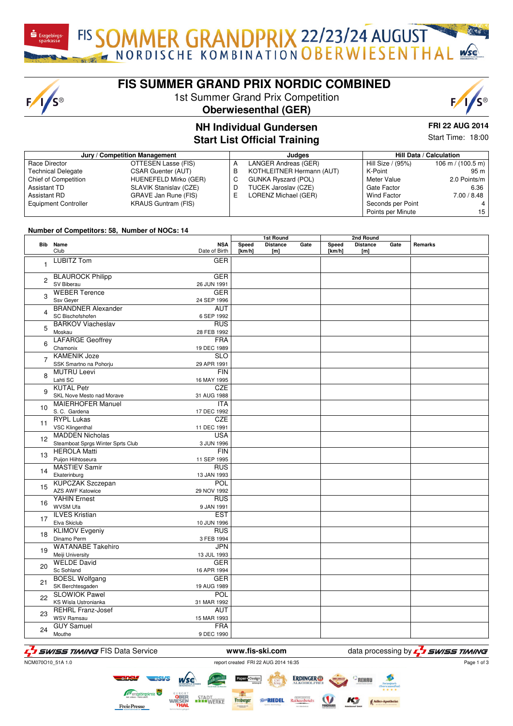FIS SOMMER GRANDPRIX 22/23/24 AUGUST

# **FIS SUMMER GRAND PRIX NORDIC COMBINED**

1st Summer Grand Prix Competition





## **NH Individual Gundersen Start List Of**

**FRI 22 AUG 2014** Start Time: 18:00

|  | ועו שעוושטוטטוו  |  |
|--|------------------|--|
|  | fficial Training |  |

| Jury / Competition Management |                            |    | Judaes                     | Hill Data / Calculation |                                     |  |
|-------------------------------|----------------------------|----|----------------------------|-------------------------|-------------------------------------|--|
| Race Director                 | OTTESEN Lasse (FIS)        | A  | LANGER Andreas (GER)       | Hill Size / (95%)       | $106 \text{ m} / (100.5 \text{ m})$ |  |
| <b>Technical Delegate</b>     | <b>CSAR Guenter (AUT)</b>  | в  | KOTHLEITNER Hermann (AUT)  | K-Point                 | 95 m                                |  |
| Chief of Competition          | HUENEFELD Mirko (GER)      | C  | <b>GUNKA Ryszard (POL)</b> | Meter Value             | 2.0 Points/m                        |  |
| <b>Assistant TD</b>           | SLAVIK Stanislav (CZE)     | D  | TUCEK Jaroslav (CZE)       | Gate Factor             | 6.36                                |  |
| <b>Assistant RD</b>           | GRAVE Jan Rune (FIS)       | F. | LORENZ Michael (GER)       | <b>Wind Factor</b>      | 7.00 / 8.48                         |  |
| <b>Equipment Controller</b>   | <b>KRAUS Guntram (FIS)</b> |    |                            | Seconds per Point       |                                     |  |
|                               |                            |    |                            | Points per Minute       | 15                                  |  |

#### **Number of Competitors: 58, Number of NOCs: 14**

 $F/I/S^{\circledcirc}$ 

|                |                                               |                             | <b>1st Round</b> |                        | 2nd Round |                 |                        |      |         |
|----------------|-----------------------------------------------|-----------------------------|------------------|------------------------|-----------|-----------------|------------------------|------|---------|
|                | Bib Name<br>Club                              | <b>NSA</b><br>Date of Birth | Speed<br>[km/h]  | <b>Distance</b><br>[m] | Gate      | Speed<br>[km/h] | <b>Distance</b><br>[m] | Gate | Remarks |
| $\mathbf{1}$   | <b>LUBITZ Tom</b>                             | <b>GER</b>                  |                  |                        |           |                 |                        |      |         |
| $\overline{2}$ | <b>BLAUROCK Philipp</b>                       | <b>GER</b>                  |                  |                        |           |                 |                        |      |         |
|                | SV Biberau                                    | 26 JUN 1991                 |                  |                        |           |                 |                        |      |         |
| 3              | <b>WEBER Terence</b>                          | GER                         |                  |                        |           |                 |                        |      |         |
|                | Ssv Geyer                                     | 24 SEP 1996                 |                  |                        |           |                 |                        |      |         |
| 4              | <b>BRANDNER Alexander</b><br>SC Bischofshofen | <b>AUT</b><br>6 SEP 1992    |                  |                        |           |                 |                        |      |         |
|                | <b>BARKOV Viacheslav</b>                      | <b>RUS</b>                  |                  |                        |           |                 |                        |      |         |
| 5              | Moskau                                        | 28 FEB 1992                 |                  |                        |           |                 |                        |      |         |
| 6              | <b>LAFARGE Geoffrey</b>                       | <b>FRA</b>                  |                  |                        |           |                 |                        |      |         |
|                | Chamonix                                      | 19 DEC 1989                 |                  |                        |           |                 |                        |      |         |
| $\overline{7}$ | <b>KAMENIK Joze</b>                           | <b>SLO</b>                  |                  |                        |           |                 |                        |      |         |
|                | SSK Smartno na Pohorju                        | 29 APR 1991                 |                  |                        |           |                 |                        |      |         |
| 8              | <b>MUTRU Leevi</b><br>Lahti SC                | <b>FIN</b><br>16 MAY 1995   |                  |                        |           |                 |                        |      |         |
|                | <b>KUTAL Petr</b>                             | <b>CZE</b>                  |                  |                        |           |                 |                        |      |         |
| 9              | SKL Nove Mesto nad Morave                     | 31 AUG 1988                 |                  |                        |           |                 |                        |      |         |
|                | <b>MAIERHOFER Manuel</b>                      | <b>ITA</b>                  |                  |                        |           |                 |                        |      |         |
| 10             | S.C. Gardena                                  | 17 DEC 1992                 |                  |                        |           |                 |                        |      |         |
|                | <b>RYPL Lukas</b>                             | <b>CZE</b>                  |                  |                        |           |                 |                        |      |         |
| 11             | VSC Klingenthal                               | 11 DEC 1991                 |                  |                        |           |                 |                        |      |         |
| 12             | <b>MADDEN Nicholas</b>                        | <b>USA</b>                  |                  |                        |           |                 |                        |      |         |
|                | Steamboat Sprgs Winter Sprts Club             | 3 JUN 1996                  |                  |                        |           |                 |                        |      |         |
| 13             | <b>HEROLA Matti</b>                           | <b>FIN</b>                  |                  |                        |           |                 |                        |      |         |
|                | Puijon Hiihtoseura                            | 11 SEP 1995                 |                  |                        |           |                 |                        |      |         |
| 14             | <b>MASTIEV Samir</b><br>Ekaterinburg          | <b>RUS</b><br>13 JAN 1993   |                  |                        |           |                 |                        |      |         |
|                | <b>KUPCZAK Szczepan</b>                       | POL                         |                  |                        |           |                 |                        |      |         |
| 15             | AZS AWF Katowice                              | 29 NOV 1992                 |                  |                        |           |                 |                        |      |         |
|                | <b>YAHIN Ernest</b>                           | <b>RUS</b>                  |                  |                        |           |                 |                        |      |         |
| 16             | WVSM Ufa                                      | 9 JAN 1991                  |                  |                        |           |                 |                        |      |         |
| 17             | <b>ILVES Kristian</b>                         | <b>EST</b>                  |                  |                        |           |                 |                        |      |         |
|                | Elva Skiclub                                  | 10 JUN 1996                 |                  |                        |           |                 |                        |      |         |
| 18             | <b>KLIMOV Evgeniy</b>                         | <b>RUS</b>                  |                  |                        |           |                 |                        |      |         |
|                | Dinamo Perm<br><b>WATANABE Takehiro</b>       | 3 FEB 1994                  |                  |                        |           |                 |                        |      |         |
| 19             | Meiji University                              | <b>JPN</b><br>13 JUL 1993   |                  |                        |           |                 |                        |      |         |
|                | <b>WELDE David</b>                            | <b>GER</b>                  |                  |                        |           |                 |                        |      |         |
| 20             | Sc Sohland                                    | 16 APR 1994                 |                  |                        |           |                 |                        |      |         |
| 21             | <b>BOESL Wolfgang</b>                         | <b>GER</b>                  |                  |                        |           |                 |                        |      |         |
|                | SK Berchtesgaden                              | 19 AUG 1989                 |                  |                        |           |                 |                        |      |         |
| 22             | <b>SLOWIOK Pawel</b>                          | POL                         |                  |                        |           |                 |                        |      |         |
|                | KS Wisla Ustronianka                          | 31 MAR 1992                 |                  |                        |           |                 |                        |      |         |
| 23             | <b>REHRL Franz-Josef</b>                      | <b>AUT</b>                  |                  |                        |           |                 |                        |      |         |
|                | <b>WSV Ramsau</b><br><b>GUY Samuel</b>        | 15 MAR 1993<br><b>FRA</b>   |                  |                        |           |                 |                        |      |         |
| 24             | Mouthe                                        | 9 DEC 1990                  |                  |                        |           |                 |                        |      |         |
|                |                                               |                             |                  |                        |           |                 |                        |      |         |

# F<sub>1</sub> SWISS TIMING FIS Data Service **www.fis-ski.com** data processing by F<sub>1</sub> SWISS TIMING

# NCM070O10\_51A 1.0 report created FRI 22 AUG 2014 16:35

Page 1 of 3

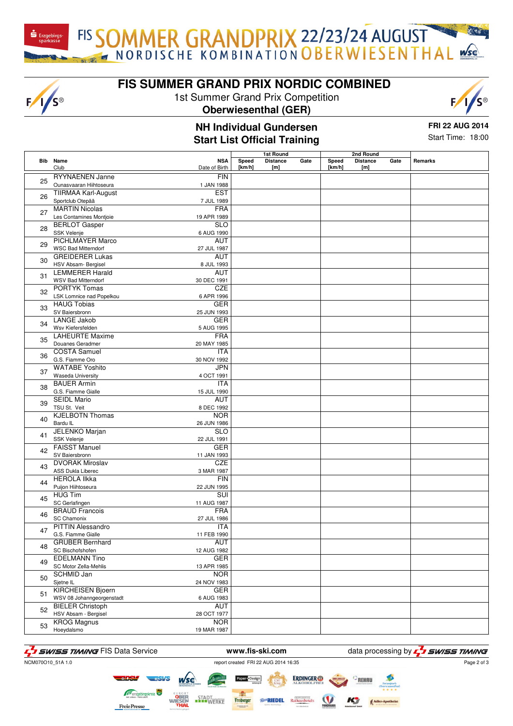FIS SOMMER GRANDPRIX 22/23/24 AUGUST

# **FIS SUMMER GRAND PRIX NORDIC COMBINED**

1st Summer Grand Prix Competition

#### **Oberwiesenthal (GER)**

#### **NH Individual Gundersen Start List Official Training**

**FRI 22 AUG 2014** Start Time: 18:00

|    |                            |                         | 1st Round |                 |      | 2nd Round |                 |      |         |
|----|----------------------------|-------------------------|-----------|-----------------|------|-----------|-----------------|------|---------|
|    | Bib Name                   | <b>NSA</b>              | Speed     | <b>Distance</b> | Gate | Speed     | <b>Distance</b> | Gate | Remarks |
|    | Club                       | Date of Birth           | [km/h]    | [m]             |      | [km/h]    | [m]             |      |         |
|    | <b>RYYNAENEN Janne</b>     | <b>FIN</b>              |           |                 |      |           |                 |      |         |
| 25 | Ounasvaaran Hiihtoseura    | 1 JAN 1988              |           |                 |      |           |                 |      |         |
|    | <b>TIIRMAA Karl-August</b> | <b>EST</b>              |           |                 |      |           |                 |      |         |
| 26 | Sportclub Otepää           | 7 JUL 1989              |           |                 |      |           |                 |      |         |
|    | <b>MARTIN Nicolas</b>      | <b>FRA</b>              |           |                 |      |           |                 |      |         |
| 27 | Les Contamines Montjoie    | 19 APR 1989             |           |                 |      |           |                 |      |         |
|    | <b>BERLOT Gasper</b>       | <b>SLO</b>              |           |                 |      |           |                 |      |         |
| 28 | SSK Velenje                | 6 AUG 1990              |           |                 |      |           |                 |      |         |
|    | <b>PICHLMAYER Marco</b>    | <b>AUT</b>              |           |                 |      |           |                 |      |         |
| 29 | <b>WSC Bad Mitterndorf</b> | 27 JUL 1987             |           |                 |      |           |                 |      |         |
|    | <b>GREIDERER Lukas</b>     | <b>AUT</b>              |           |                 |      |           |                 |      |         |
| 30 | HSV Absam- Bergisel        | 8 JUL 1993              |           |                 |      |           |                 |      |         |
|    | <b>LEMMERER Harald</b>     | AUT                     |           |                 |      |           |                 |      |         |
| 31 | <b>WSV Bad Mitterndorf</b> | 30 DEC 1991             |           |                 |      |           |                 |      |         |
|    | <b>PORTYK Tomas</b>        | <b>CZE</b>              |           |                 |      |           |                 |      |         |
| 32 | LSK Lomnice nad Popelkou   | 6 APR 1996              |           |                 |      |           |                 |      |         |
|    | <b>HAUG Tobias</b>         | <b>GER</b>              |           |                 |      |           |                 |      |         |
| 33 | SV Baiersbronn             | 25 JUN 1993             |           |                 |      |           |                 |      |         |
|    | <b>LANGE Jakob</b>         | <b>GER</b>              |           |                 |      |           |                 |      |         |
| 34 | Wsv Kiefersfelden          | 5 AUG 1995              |           |                 |      |           |                 |      |         |
|    | <b>LAHEURTE Maxime</b>     | <b>FRA</b>              |           |                 |      |           |                 |      |         |
| 35 | Douanes Geradmer           | 20 MAY 1985             |           |                 |      |           |                 |      |         |
|    | <b>COSTA Samuel</b>        | <b>ITA</b>              |           |                 |      |           |                 |      |         |
| 36 | G.S. Fiamme Oro            | 30 NOV 1992             |           |                 |      |           |                 |      |         |
|    | <b>WATABE Yoshito</b>      | <b>JPN</b>              |           |                 |      |           |                 |      |         |
| 37 | Waseda University          | 4 OCT 1991              |           |                 |      |           |                 |      |         |
|    | <b>BAUER Armin</b>         | <b>ITA</b>              |           |                 |      |           |                 |      |         |
| 38 | G.S. Fiamme Gialle         | 15 JUL 1990             |           |                 |      |           |                 |      |         |
|    | <b>SEIDL Mario</b>         | <b>AUT</b>              |           |                 |      |           |                 |      |         |
| 39 | TSU St. Veit               | 8 DEC 1992              |           |                 |      |           |                 |      |         |
| 40 | <b>KJELBOTN Thomas</b>     | <b>NOR</b>              |           |                 |      |           |                 |      |         |
|    | Bardu IL                   | 26 JUN 1986             |           |                 |      |           |                 |      |         |
| 41 | JELENKO Marjan             | <b>SLO</b>              |           |                 |      |           |                 |      |         |
|    | <b>SSK Velenje</b>         | 22 JUL 1991             |           |                 |      |           |                 |      |         |
| 42 | <b>FAISST Manuel</b>       | <b>GER</b>              |           |                 |      |           |                 |      |         |
|    | SV Baiersbronn             | 11 JAN 1993             |           |                 |      |           |                 |      |         |
| 43 | <b>DVORAK Miroslav</b>     | <b>CZE</b>              |           |                 |      |           |                 |      |         |
|    | ASS Dukla Liberec          | 3 MAR 1987              |           |                 |      |           |                 |      |         |
| 44 | <b>HEROLA Ilkka</b>        | <b>FIN</b>              |           |                 |      |           |                 |      |         |
|    | Puijon Hiihtoseura         | 22 JUN 1995             |           |                 |      |           |                 |      |         |
| 45 | <b>HUG Tim</b>             | $\overline{\text{SUI}}$ |           |                 |      |           |                 |      |         |
|    | SC Gerlafingen             | 11 AUG 1987             |           |                 |      |           |                 |      |         |
| 46 | <b>BRAUD Francois</b>      | <b>FRA</b>              |           |                 |      |           |                 |      |         |
|    | <b>SC Chamonix</b>         | 27 JUL 1986             |           |                 |      |           |                 |      |         |
| 47 | <b>PITTIN Alessandro</b>   | <b>ITA</b>              |           |                 |      |           |                 |      |         |
|    | G.S. Fiamme Gialle         | 11 FEB 1990             |           |                 |      |           |                 |      |         |
| 48 | <b>GRUBER Bernhard</b>     | AUT                     |           |                 |      |           |                 |      |         |
|    | SC Bischofshofen           | 12 AUG 1982             |           |                 |      |           |                 |      |         |
| 49 | <b>EDELMANN Tino</b>       | <b>GER</b>              |           |                 |      |           |                 |      |         |
|    | SC Motor Zella-Mehlis      | 13 APR 1985             |           |                 |      |           |                 |      |         |
| 50 | <b>SCHMID Jan</b>          | <b>NOR</b>              |           |                 |      |           |                 |      |         |
|    | Sjetne IL                  | 24 NOV 1983             |           |                 |      |           |                 |      |         |
| 51 | <b>KIRCHEISEN Bjoern</b>   | <b>GER</b>              |           |                 |      |           |                 |      |         |
|    | WSV 08 Johanngeorgenstadt  | 6 AUG 1983              |           |                 |      |           |                 |      |         |
| 52 | <b>BIELER Christoph</b>    | <b>AUT</b>              |           |                 |      |           |                 |      |         |
|    | HSV Absam - Bergisel       | 28 OCT 1977             |           |                 |      |           |                 |      |         |
| 53 | <b>KROG Magnus</b>         | <b>NOR</b>              |           |                 |      |           |                 |      |         |
|    | Hoeydalsmo                 | 19 MAR 1987             |           |                 |      |           |                 |      |         |





 $F/I/S^{\circledcirc}$